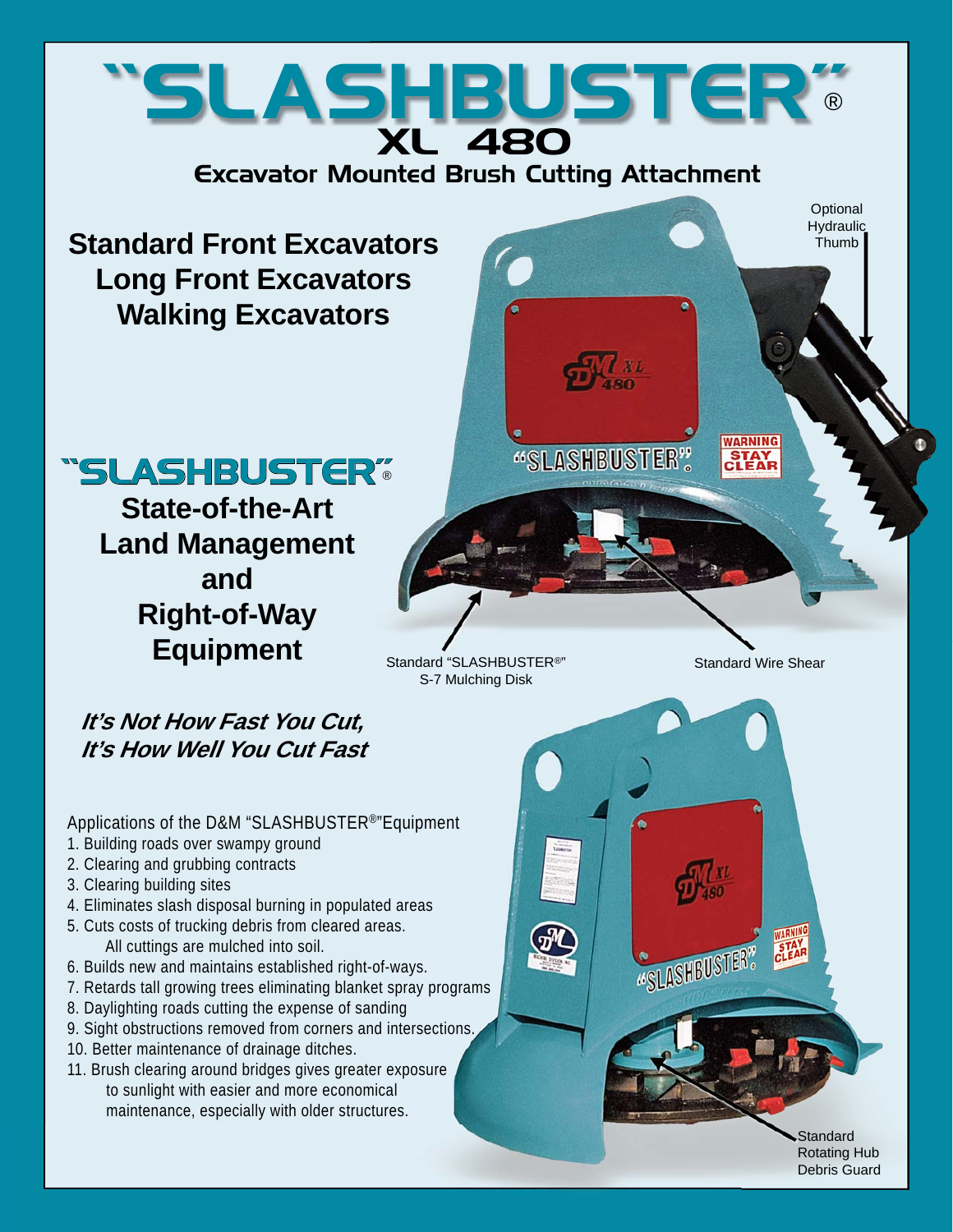